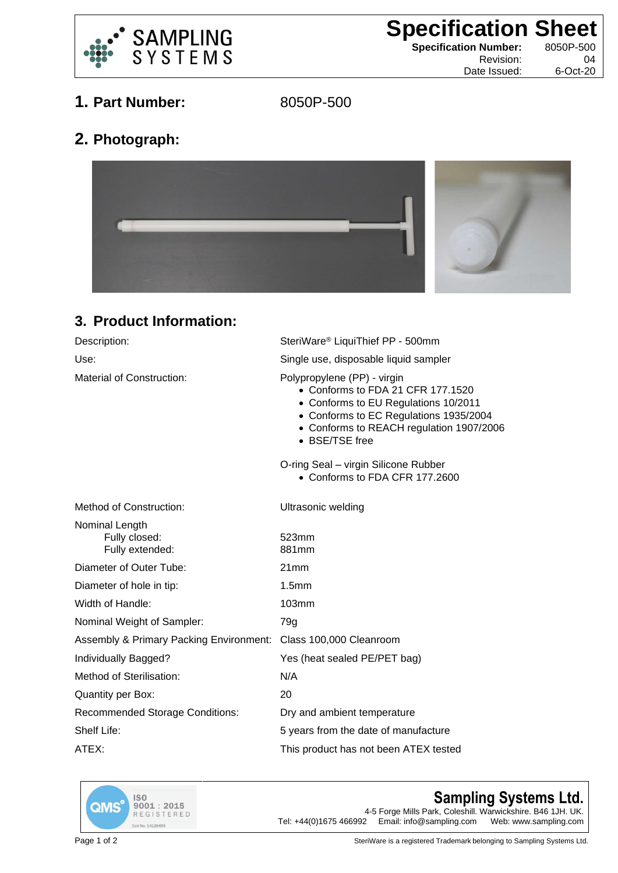

**Specification Sheet**<br>
Specification Number: 8050P-500

**Specification Number:** 

Revision: 04 Date Issued: 6-Oct-20

**1. Part Number:** 8050P-500

**2. Photograph:**



## **3. Product Information:**

| Description:                                                    | SteriWare® LiquiThief PP - 500mm                                                                                                                                                                                 |
|-----------------------------------------------------------------|------------------------------------------------------------------------------------------------------------------------------------------------------------------------------------------------------------------|
| Use:                                                            | Single use, disposable liquid sampler                                                                                                                                                                            |
| Material of Construction:                                       | Polypropylene (PP) - virgin<br>• Conforms to FDA 21 CFR 177.1520<br>• Conforms to EU Regulations 10/2011<br>• Conforms to EC Regulations 1935/2004<br>• Conforms to REACH regulation 1907/2006<br>• BSE/TSE free |
|                                                                 | O-ring Seal - virgin Silicone Rubber<br>• Conforms to FDA CFR 177.2600                                                                                                                                           |
| Method of Construction:                                         | Ultrasonic welding                                                                                                                                                                                               |
| Nominal Length<br>Fully closed:<br>Fully extended:              | 523mm<br>881mm                                                                                                                                                                                                   |
| Diameter of Outer Tube:                                         | 21mm                                                                                                                                                                                                             |
| Diameter of hole in tip:                                        | 1.5 <sub>mm</sub>                                                                                                                                                                                                |
| Width of Handle:                                                | 103mm                                                                                                                                                                                                            |
| Nominal Weight of Sampler:                                      | 79g                                                                                                                                                                                                              |
| Assembly & Primary Packing Environment: Class 100,000 Cleanroom |                                                                                                                                                                                                                  |
| Individually Bagged?                                            | Yes (heat sealed PE/PET bag)                                                                                                                                                                                     |
| Method of Sterilisation:                                        | N/A                                                                                                                                                                                                              |
| Quantity per Box:                                               | 20                                                                                                                                                                                                               |
| <b>Recommended Storage Conditions:</b>                          | Dry and ambient temperature                                                                                                                                                                                      |
| Shelf Life:                                                     | 5 years from the date of manufacture                                                                                                                                                                             |
| ATEX:                                                           | This product has not been ATEX tested                                                                                                                                                                            |



## **Sampling Systems Ltd.**

4-5 Forge Mills Park, Coleshill. Warwickshire. B46 1JH. UK.<br>2 Email: info@sampling.com Web: www.sampling.com Tel:  $+44(0)1675466992$  Email: info@sampling.com